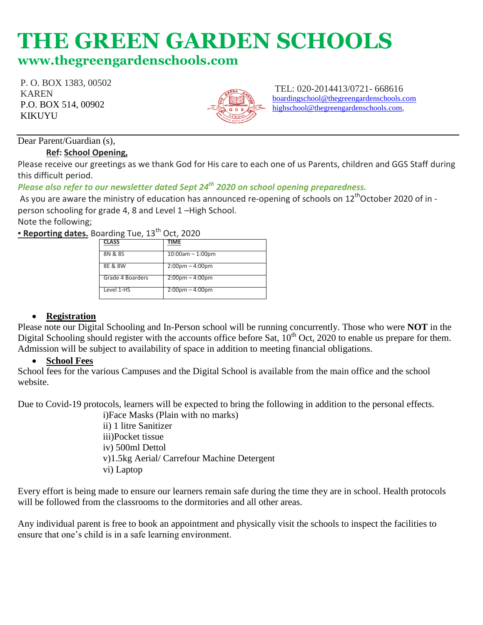# **THE GREEN GARDEN SCHOOLS**

# **[www.thegreeng](http://www.thegreen/)ardenschools.com**

P. O. BOX 1383, 00502 KAREN P.O. BOX 514, 00902 KIKUYU



TEL: 020-2014413/0721- 668616 [boardingschool@thegreengardenschools.com](about:blank) [highschool@thegreengardenschools.com,](about:blank)

# Dear Parent/Guardian (s),

#### **Ref: School Opening,**

Please receive our greetings as we thank God for His care to each one of us Parents, children and GGS Staff during this difficult period.

# *Please also refer to our newsletter dated Sept 24th 2020 on school opening preparedness.*

As you are aware the ministry of education has announced re-opening of schools on 12<sup>th</sup>October 2020 of in person schooling for grade 4, 8 and Level 1 –High School.

Note the following;

**Example 1 Reporting dates.** Boarding Tue, 13<sup>th</sup> Oct, 2020

| <b>CLASS</b>     | TIME                              |
|------------------|-----------------------------------|
| 8N & 8S          | $10:00am - 1:00pm$                |
| 8E & 8W          | $2:00 \text{pm} - 4:00 \text{pm}$ |
| Grade 4 Boarders | $2:00 \text{pm} - 4:00 \text{pm}$ |
| Level 1-HS       | $2:00 \text{pm} - 4:00 \text{pm}$ |

# **Registration**

Please note our Digital Schooling and In-Person school will be running concurrently. Those who were **NOT** in the Digital Schooling should register with the accounts office before Sat,  $10^{th}$  Oct, 2020 to enable us prepare for them. Admission will be subject to availability of space in addition to meeting financial obligations.

### **School Fees**

School fees for the various Campuses and the Digital School is available from the main office and the school website.

Due to Covid-19 protocols, learners will be expected to bring the following in addition to the personal effects.

i)Face Masks (Plain with no marks) ii) 1 litre Sanitizer iii)Pocket tissue iv) 500ml Dettol v)1.5kg Aerial/ Carrefour Machine Detergent vi) Laptop

Every effort is being made to ensure our learners remain safe during the time they are in school. Health protocols will be followed from the classrooms to the dormitories and all other areas.

Any individual parent is free to book an appointment and physically visit the schools to inspect the facilities to ensure that one's child is in a safe learning environment.